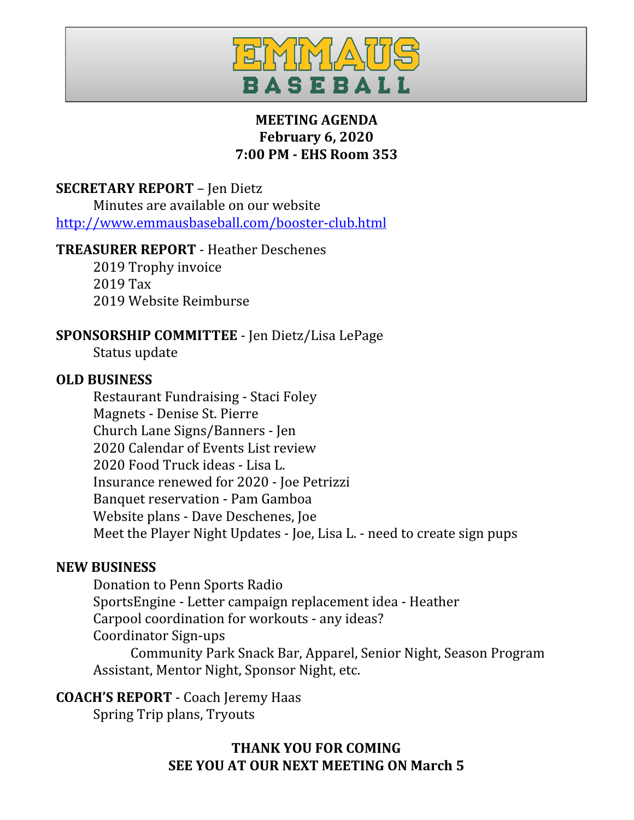

# **MEETING AGENDA February 6, 2020 7:00 PM - EHS Room 353**

# **SECRETARY REPORT** – Jen Dietz

Minutes are available on our website <http://www.emmausbaseball.com/booster-club.html>

### **TREASURER REPORT** - Heather Deschenes

2019 Trophy invoice 2019 Tax 2019 Website Reimburse

## **SPONSORSHIP COMMITTEE** - Jen Dietz/Lisa LePage

Status update

### **OLD BUSINESS**

Restaurant Fundraising - Staci Foley Magnets - Denise St. Pierre Church Lane Signs/Banners - Jen 2020 Calendar of Events List review 2020 Food Truck ideas - Lisa L. Insurance renewed for 2020 - Joe Petrizzi Banquet reservation - Pam Gamboa Website plans - Dave Deschenes, Joe Meet the Player Night Updates - Joe, Lisa L. - need to create sign pups

### **NEW BUSINESS**

Donation to Penn Sports Radio SportsEngine - Letter campaign replacement idea - Heather Carpool coordination for workouts - any ideas? Coordinator Sign-ups Community Park Snack Bar, Apparel, Senior Night, Season Program Assistant, Mentor Night, Sponsor Night, etc.

## **COACH'S REPORT** - Coach Jeremy Haas

Spring Trip plans, Tryouts

**THANK YOU FOR COMING SEE YOU AT OUR NEXT MEETING ON March 5**